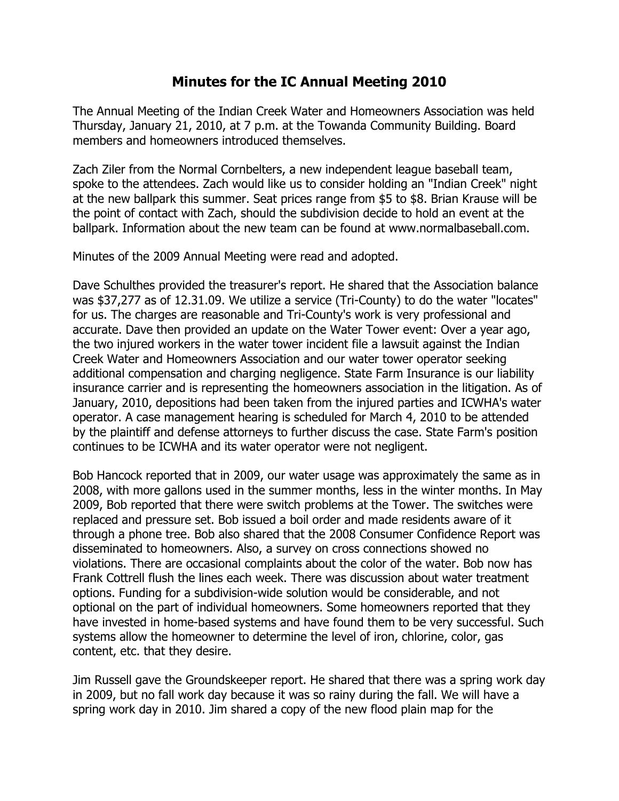## **Minutes for the IC Annual Meeting 2010**

The Annual Meeting of the Indian Creek Water and Homeowners Association was held Thursday, January 21, 2010, at 7 p.m. at the Towanda Community Building. Board members and homeowners introduced themselves.

Zach Ziler from the Normal Cornbelters, a new independent league baseball team, spoke to the attendees. Zach would like us to consider holding an "Indian Creek" night at the new ballpark this summer. Seat prices range from \$5 to \$8. Brian Krause will be the point of contact with Zach, should the subdivision decide to hold an event at the ballpark. Information about the new team can be found at www.normalbaseball.com.

Minutes of the 2009 Annual Meeting were read and adopted.

Dave Schulthes provided the treasurer's report. He shared that the Association balance was \$37,277 as of 12.31.09. We utilize a service (Tri-County) to do the water "locates" for us. The charges are reasonable and Tri-County's work is very professional and accurate. Dave then provided an update on the Water Tower event: Over a year ago, the two injured workers in the water tower incident file a lawsuit against the Indian Creek Water and Homeowners Association and our water tower operator seeking additional compensation and charging negligence. State Farm Insurance is our liability insurance carrier and is representing the homeowners association in the litigation. As of January, 2010, depositions had been taken from the injured parties and ICWHA's water operator. A case management hearing is scheduled for March 4, 2010 to be attended by the plaintiff and defense attorneys to further discuss the case. State Farm's position continues to be ICWHA and its water operator were not negligent.

Bob Hancock reported that in 2009, our water usage was approximately the same as in 2008, with more gallons used in the summer months, less in the winter months. In May 2009, Bob reported that there were switch problems at the Tower. The switches were replaced and pressure set. Bob issued a boil order and made residents aware of it through a phone tree. Bob also shared that the 2008 Consumer Confidence Report was disseminated to homeowners. Also, a survey on cross connections showed no violations. There are occasional complaints about the color of the water. Bob now has Frank Cottrell flush the lines each week. There was discussion about water treatment options. Funding for a subdivision-wide solution would be considerable, and not optional on the part of individual homeowners. Some homeowners reported that they have invested in home-based systems and have found them to be very successful. Such systems allow the homeowner to determine the level of iron, chlorine, color, gas content, etc. that they desire.

Jim Russell gave the Groundskeeper report. He shared that there was a spring work day in 2009, but no fall work day because it was so rainy during the fall. We will have a spring work day in 2010. Jim shared a copy of the new flood plain map for the